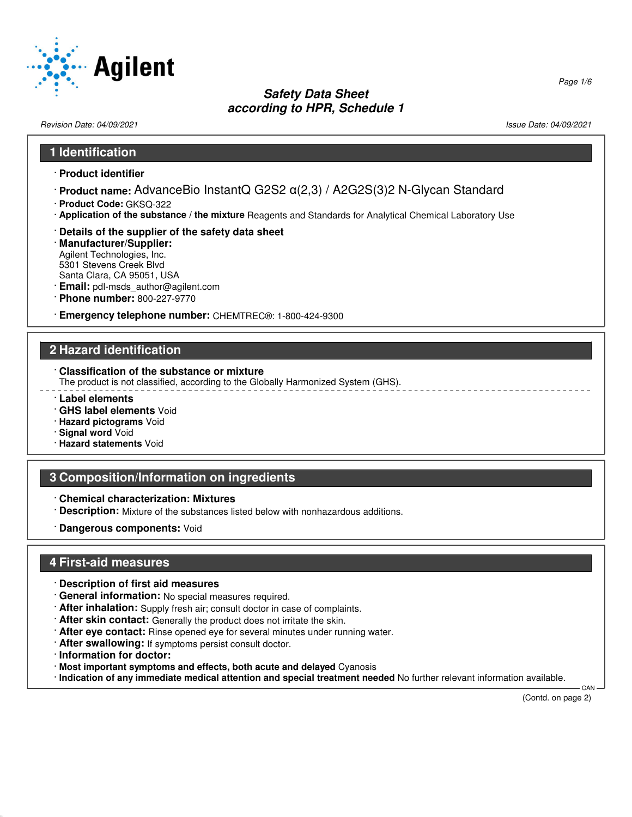

Revision Date: 04/09/2021 Issue Date: 04/09/2021

#### **1 Identification**

- · **Product identifier**
- · **Product name:** AdvanceBio InstantQ G2S2 α(2,3) / A2G2S(3)2 N-Glycan Standard
- · **Product Code:** GKSQ-322
- · **Application of the substance / the mixture** Reagents and Standards for Analytical Chemical Laboratory Use
- · **Details of the supplier of the safety data sheet**
- · **Manufacturer/Supplier:** Agilent Technologies, Inc. 5301 Stevens Creek Blvd Santa Clara, CA 95051, USA
- · **Email:** pdl-msds\_author@agilent.com
- · **Phone number:** 800-227-9770
- · **Emergency telephone number:** CHEMTREC®: 1-800-424-9300

### **2 Hazard identification**

· **Classification of the substance or mixture**

The product is not classified, according to the Globally Harmonized System (GHS).

- · **Label elements**
- · **GHS label elements** Void
- · **Hazard pictograms** Void
- · **Signal word** Void
- · **Hazard statements** Void

### **3 Composition/Information on ingredients**

- · **Chemical characterization: Mixtures**
- · **Description:** Mixture of the substances listed below with nonhazardous additions.
- · **Dangerous components:** Void

### **4 First-aid measures**

- · **Description of first aid measures**
- · **General information:** No special measures required.
- · **After inhalation:** Supply fresh air; consult doctor in case of complaints.
- · **After skin contact:** Generally the product does not irritate the skin.
- · **After eye contact:** Rinse opened eye for several minutes under running water.
- · **After swallowing:** If symptoms persist consult doctor.
- · **Information for doctor:**

52.0.1.1

- · **Most important symptoms and effects, both acute and delayed** Cyanosis
- · **Indication of any immediate medical attention and special treatment needed** No further relevant information available.

(Contd. on page 2)

**CAN** 

Page 1/6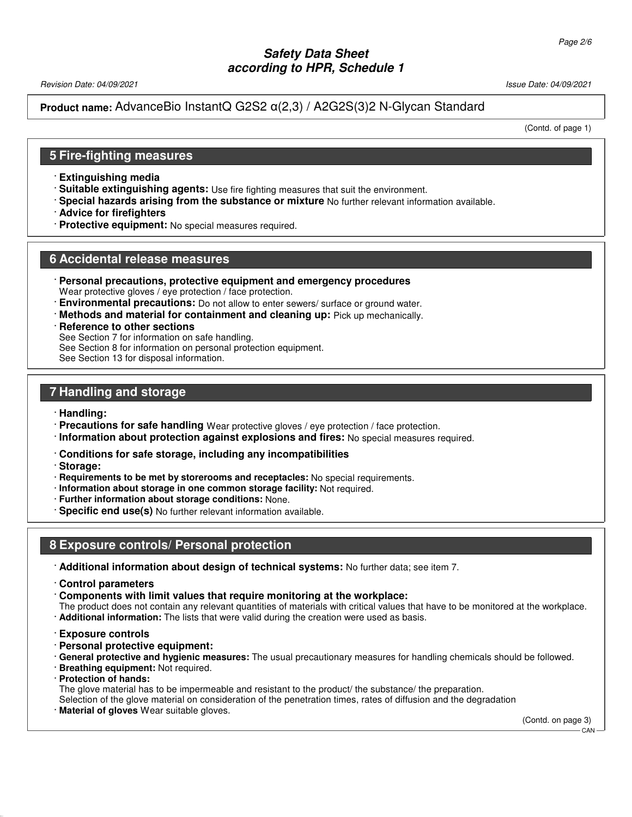Revision Date: 04/09/2021 Issue Date: 04/09/2021

**Product name:** AdvanceBio InstantQ G2S2 α(2,3) / A2G2S(3)2 N-Glycan Standard

(Contd. of page 1)

## **5 Fire-fighting measures**

- · **Extinguishing media**
- · **Suitable extinguishing agents:** Use fire fighting measures that suit the environment.
- · **Special hazards arising from the substance or mixture** No further relevant information available.
- · **Advice for firefighters**
- · **Protective equipment:** No special measures required.

### **6 Accidental release measures**

- · **Personal precautions, protective equipment and emergency procedures** Wear protective gloves / eye protection / face protection.
- **Environmental precautions:** Do not allow to enter sewers/ surface or ground water.
- · **Methods and material for containment and cleaning up:** Pick up mechanically.

#### **Reference to other sections**

- See Section 7 for information on safe handling.
- See Section 8 for information on personal protection equipment.

See Section 13 for disposal information.

## **7 Handling and storage**

#### · **Handling:**

- · **Precautions for safe handling** Wear protective gloves / eye protection / face protection.
- · **Information about protection against explosions and fires:** No special measures required.
- · **Conditions for safe storage, including any incompatibilities**
- · **Storage:**
- · **Requirements to be met by storerooms and receptacles:** No special requirements.
- · **Information about storage in one common storage facility:** Not required.
- · **Further information about storage conditions:** None.
- · **Specific end use(s)** No further relevant information available.

## **8 Exposure controls/ Personal protection**

- · **Additional information about design of technical systems:** No further data; see item 7.
- · **Control parameters**
- · **Components with limit values that require monitoring at the workplace:**
- The product does not contain any relevant quantities of materials with critical values that have to be monitored at the workplace. · **Additional information:** The lists that were valid during the creation were used as basis.
- · **Exposure controls**
- · **Personal protective equipment:**
- · **General protective and hygienic measures:** The usual precautionary measures for handling chemicals should be followed.
- · **Breathing equipment:** Not required.
- · **Protection of hands:**

52.0.1.1

The glove material has to be impermeable and resistant to the product/ the substance/ the preparation.

Selection of the glove material on consideration of the penetration times, rates of diffusion and the degradation

**Material of gloves** Wear suitable gloves.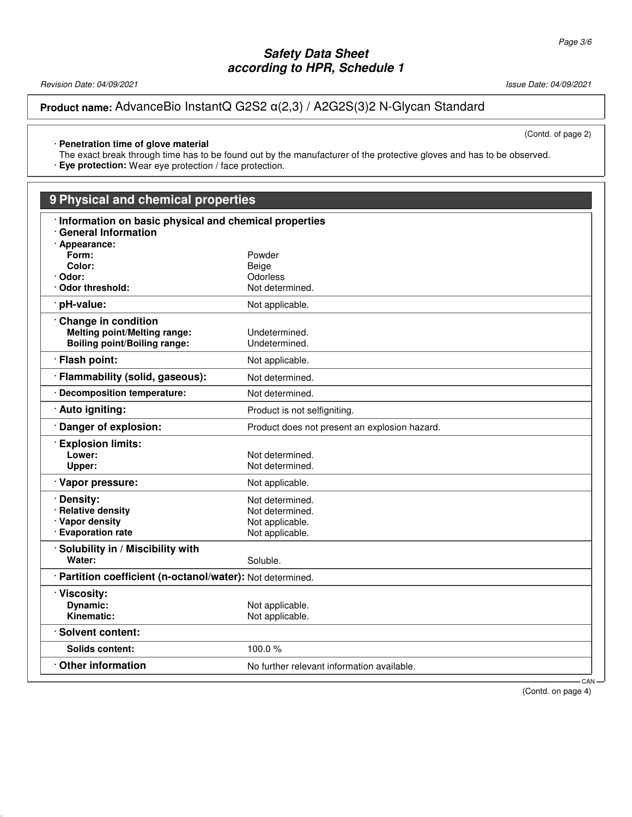Revision Date: 04/09/2021 2008/09/2021 2009/09/2021 2009/2021 2009/2021 2009/2021 2009/2021 2009/2021

52.0.1.1

**Product name:** AdvanceBio InstantQ G2S2 α(2,3) / A2G2S(3)2 N-Glycan Standard

(Contd. of page 2)

## · **Penetration time of glove material**

The exact break through time has to be found out by the manufacturer of the protective gloves and has to be observed.

· **Eye protection:** Wear eye protection / face protection.

# **9 Physical and chemical properties**

| Information on basic physical and chemical properties      |                                               |     |
|------------------------------------------------------------|-----------------------------------------------|-----|
| <b>General Information</b>                                 |                                               |     |
| · Appearance:                                              |                                               |     |
| Form:<br>Color:                                            | Powder                                        |     |
| · Odor:                                                    | Beige<br>Odorless                             |     |
| Odor threshold:                                            | Not determined.                               |     |
| pH-value:                                                  | Not applicable.                               |     |
|                                                            |                                               |     |
| <b>Change in condition</b>                                 |                                               |     |
| <b>Melting point/Melting range:</b>                        | Undetermined.                                 |     |
| <b>Boiling point/Boiling range:</b>                        | Undetermined.                                 |     |
| · Flash point:                                             | Not applicable.                               |     |
| Flammability (solid, gaseous):                             | Not determined.                               |     |
| · Decomposition temperature:                               | Not determined.                               |     |
| · Auto igniting:                                           | Product is not selfigniting.                  |     |
| Danger of explosion:                                       | Product does not present an explosion hazard. |     |
| <b>Explosion limits:</b>                                   |                                               |     |
| Lower:                                                     | Not determined.                               |     |
| Upper:                                                     | Not determined.                               |     |
| · Vapor pressure:                                          | Not applicable.                               |     |
| Density:                                                   | Not determined.                               |     |
| · Relative density                                         | Not determined.                               |     |
| · Vapor density                                            | Not applicable.                               |     |
| · Evaporation rate                                         | Not applicable.                               |     |
| · Solubility in / Miscibility with                         |                                               |     |
| Water:                                                     | Soluble.                                      |     |
| · Partition coefficient (n-octanol/water): Not determined. |                                               |     |
| · Viscosity:                                               |                                               |     |
| Dynamic:                                                   | Not applicable.                               |     |
| Kinematic:                                                 | Not applicable.                               |     |
| · Solvent content:                                         |                                               |     |
| Solids content:                                            | 100.0%                                        |     |
| <b>Other information</b>                                   | No further relevant information available.    |     |
|                                                            |                                               | CAN |

(Contd. on page 4)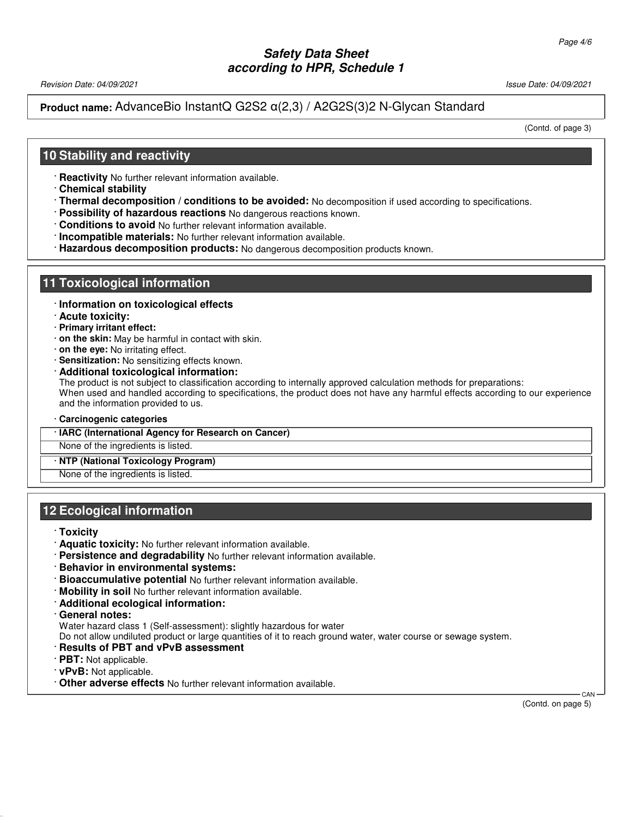Revision Date: 04/09/2021 Issue Date: 04/09/2021

## **Product name:** AdvanceBio InstantQ G2S2 α(2,3) / A2G2S(3)2 N-Glycan Standard

(Contd. of page 3)

## **10 Stability and reactivity**

- · **Reactivity** No further relevant information available.
- · **Chemical stability**
- · **Thermal decomposition / conditions to be avoided:** No decomposition if used according to specifications.
- · **Possibility of hazardous reactions** No dangerous reactions known.
- · **Conditions to avoid** No further relevant information available.
- · **Incompatible materials:** No further relevant information available.
- · **Hazardous decomposition products:** No dangerous decomposition products known.

## **11 Toxicological information**

#### · **Information on toxicological effects**

- · **Acute toxicity:**
- · **Primary irritant effect:**
- · **on the skin:** May be harmful in contact with skin.
- · **on the eye:** No irritating effect.
- · **Sensitization:** No sensitizing effects known.
- · **Additional toxicological information:**

The product is not subject to classification according to internally approved calculation methods for preparations: When used and handled according to specifications, the product does not have any harmful effects according to our experience and the information provided to us.

- · **Carcinogenic categories**
- · **IARC (International Agency for Research on Cancer)**

None of the ingredients is listed.

#### · **NTP (National Toxicology Program)**

None of the ingredients is listed.

## **12 Ecological information**

#### · **Toxicity**

- · **Aquatic toxicity:** No further relevant information available.
- · **Persistence and degradability** No further relevant information available.
- · **Behavior in environmental systems:**
- · **Bioaccumulative potential** No further relevant information available.
- · **Mobility in soil** No further relevant information available.
- · **Additional ecological information:**
- · **General notes:**

Water hazard class 1 (Self-assessment): slightly hazardous for water

Do not allow undiluted product or large quantities of it to reach ground water, water course or sewage system.

- · **Results of PBT and vPvB assessment**
- · **PBT:** Not applicable.
- · **vPvB:** Not applicable.

52.0.1.1

· **Other adverse effects** No further relevant information available.

 CAN (Contd. on page 5)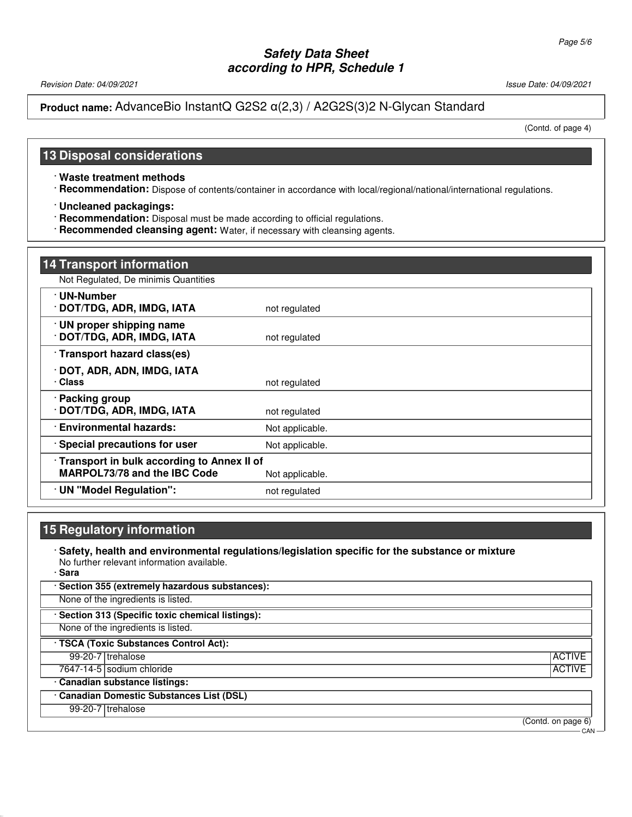Revision Date: 04/09/2021 Issue Date: 04/09/2021

## **Product name:** AdvanceBio InstantQ G2S2 α(2,3) / A2G2S(3)2 N-Glycan Standard

(Contd. of page 4)

### **13 Disposal considerations**

· **Waste treatment methods**

· **Recommendation:** Dispose of contents/container in accordance with local/regional/national/international regulations.

· **Uncleaned packagings:**

· **Recommendation:** Disposal must be made according to official regulations.

· **Recommended cleansing agent:** Water, if necessary with cleansing agents.

| <b>14 Transport information</b>                                                   |                 |
|-----------------------------------------------------------------------------------|-----------------|
| Not Regulated, De minimis Quantities                                              |                 |
| · UN-Number<br>· DOT/TDG, ADR, IMDG, IATA                                         | not regulated   |
| · UN proper shipping name<br>· DOT/TDG, ADR, IMDG, IATA                           | not regulated   |
| · Transport hazard class(es)                                                      |                 |
| · DOT, ADR, ADN, IMDG, IATA<br>· Class                                            | not regulated   |
| · Packing group<br>· DOT/TDG, ADR, IMDG, IATA                                     | not regulated   |
| <b>Environmental hazards:</b>                                                     | Not applicable. |
| · Special precautions for user                                                    | Not applicable. |
| Transport in bulk according to Annex II of<br><b>MARPOL73/78 and the IBC Code</b> | Not applicable. |
| · UN "Model Regulation":                                                          | not regulated   |

# **15 Regulatory information**

· **Safety, health and environmental regulations/legislation specific for the substance or mixture** No further relevant information available.

· **Sara**

52.0.1.1

· **Section 355 (extremely hazardous substances):** None of the ingredients is listed. · **Section 313 (Specific toxic chemical listings):**

None of the ingredients is listed.

· **TSCA (Toxic Substances Control Act):**

99-20-7 trehalose ACTIVE

**7647-14-5** sodium chloride ACTIVE

## · **Canadian substance listings:**

· **Canadian Domestic Substances List (DSL)**

99-20-7 trehalose

(Contd. on page 6)